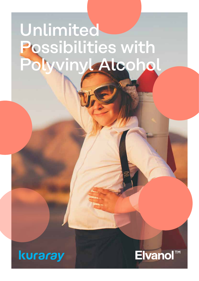# Unlimited Possibilities with Polyvinyl Alcohol

kuraray

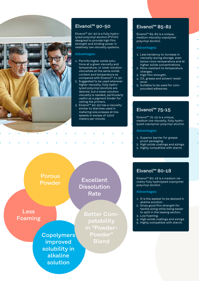

# Elvanol™ 90-50

Elvanol™ 90-50 is a fully hydrolyzed polyvinyl alcohol (PVOH) designed to provide high film strength and binding power in relatively low viscosity systems.

#### Advantages:

- 1. Permits higher solids solutions at a given viscosity and temperature, or lower solution viscosities at the same solids content and temperature as compared with Elvanol™ 71-30
- 2. Suggested to be used wherever higher viscosity, fully hydrolyzed polyvinyl alcohols are desired, but a lower solution viscosity is needed, particularly useful as a pigment binder for ceiling tile primers.
- 3. Elvanol™ 90-50 has a viscosity similar to starches used in metering size presses at line speeds in excess of 1500 meters per minute.

# Elvanol™ 85-82

Elvanol™ 85-82 is a unique, medium viscosity copolymer polyvinyl alcohol.

#### Advantages:

- 1. Less tendency to increase in viscosity during storage, even below room temperature and at higher solids concentrations.
- 2. More resistant to temperature changes.
- 3. High film strength.
- 4. Oil, grease and solvent resistance.
- 5. Suitable to be used for compounded adhesives.

# Elvanol™ 75-15

Elvanol™ 75-15 is a unique, medium low viscosity, fully hydrolyzed copolymer polyvinyl alcohol.

#### Advantages:

- 1. Superior barrier for grease proof packaging.
- 2. High solids coatings and sizings.
- 3. Highly compatible with starch.

# Elvanol™ 80-18

Elvanol™ 80-18 is a medium viscosity fully hydrolysed copolymer polyvinyl alcohol.

#### Advantages:

- 1. It is the easiest to be desized in akaline solution.
- 2. Gives good film strength for textile sizing while being easier to split in the leasing section.
- 3. Low foaming.
- 4. High solids coatings and sizings.
- 5. Highly compatible with starch.

Porous Powder

Less Foaming

> **Copolymers** improved solubility in alkaline solution

Better Compatability in "Powder-Powder" Blend

Excellent

Dissolution

Rate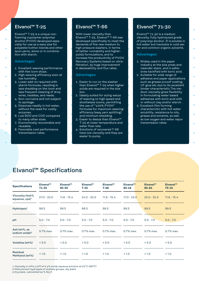## Elvanol™ T-25

Elvanol™ T-25 is a unique nonfoaming copolymer polyvinyl alcohol (PVOH) developed especially for use as a warp size for polyester/cotton blends and other spun yarns, alone or in combination with starch.

#### Advantages:

- 1. Excellent weaving performance with few loom stops.
- 2. High weaving efficiency even at low humidity.
- 3. Lower add-on required with starch formulas, resulting in less shedding on the loom and less frequent cleaning of drop wires, heddles, and reeds.
- 4. Non-corrosive and not subject to spoilage.
- 5. Dissolves readily in hot water, without the need for costly enzymes.
- 6. Low BOD and COD compared to many other sizes.
- 7. Economically recoverable and reusable.
- 8. Favorable cost performance. transmission rates.

# Elvanol™ T-66

With lower viscosity than Elvanol™ T-25, Elvanol™ T-66 was developed specifically to meet the demands of the new medium to high pressure slashers, in terms of better runnability and highersolids formulations, and to increase the productivity of PVOH Recovery Systems based on ultrafiltration, by huge improvement in desizeability and flux rates.

#### Advantages:

- 1. Easier to run on the slasher than Elvanol™ T-25 when higher solids are required in the size box.
- 2. Ideally suited for sizing warps of weaving on high speed and shuttleless looms, permitting the use of "100% PVOH" formulas for maximum weavingefficiency (easy yarn splitting) and minimum shedding.
- 3. Easier to desize than Elvanol™ T-25 at lower temperature and water flow rate.
- 4. Solutions of recovered T-66 have low viscosity and they are easier to pump.

# Elvanol™ 71-30

Elvanol™ 71-30 is a medium viscosity, fully hydrolyzed grade of polyvinyl alcohol. It is soluble in hot water but insoluble in cold water and common organic solvents.

#### Advantages:

- 1. Widely used in the paper industry at the size press and calender stack, and in adhesives tackified with boric acid.
- 2. Suitable for wide range of adhesive and paper applications such as grease prooof coating, UF glue etc due to its excellent binder characteristic.The medium viscosity gives flexibility in formulating water based adhesives with boric acid with or without clay and/or starch.
- 3. Excellent film forming characterictic with hot water solubility, resistance to oils, grease and solvents, as well as low oxygen and water vapor transmission rates.

# Elvanol™ Specifications

| <b>Specifications</b>                         | Elvanol™<br>71-30 | Elvanol™<br>$90 - 50$ | Elvanol™<br>$T-25$ | Elvanol™<br>T-66 | Elvanol <sup>™</sup><br>$80 - 18$ | <b>Elvanol™</b><br>$85 - 82$ | Elvanol™<br>$75 - 15$ |
|-----------------------------------------------|-------------------|-----------------------|--------------------|------------------|-----------------------------------|------------------------------|-----------------------|
| Viscosity (4wt%<br>aqueous, cps) <sup>1</sup> | $27.0 - 33.0$     | $11.6 - 15.4$         | $24.0 - 32.0$      | $11.6 - 15.4$    | $17.0 - 23.0$                     | $25.0 - 32.0$                | $11.6 - 15.4$         |
| Hydrolysis <sup>2</sup>                       | 99.5              | 99.5                  | 99.5               | 99.5             | 99.5                              | 99.5                         | 99.5                  |
| рH                                            | $5.0 - 7.0$       | $5.0 - 7.0$           | $5.0 - 7.0$        | $5.0 - 7.0$      | $5.0 - 7.0$                       | $5.0 - 7.0$                  | $5.0 - 7.0$           |
| Ash (wt%, as<br>sodium oxide $)^3$            | 0.7% max.         | 0.7% max.             | 0.7% max.          | 0.7% max.        | 0.7% max.                         | 0.7% max.                    | 0.7% max.             |
| Volatiles (wt%)                               | < 5.0             | < 5.0                 | < 5.0              | < 5.0            | < 5.0                             | < 5.0                        | < 5.0                 |
| Residual<br>Methanol (wt%)                    | < 1.0             | < 1.0                 | < 1.0              | < 1.0            | < 1.0                             | < 1.0                        | < 1.0                 |

*1 Viscosity in mPa.s (cP) of a 4% solids aqueous solution at 20°C (68°F)*

*2 Mole percent hydrolysis of acetate groups, dry basis*

*3 Dry basis, calculated as % Na2O*